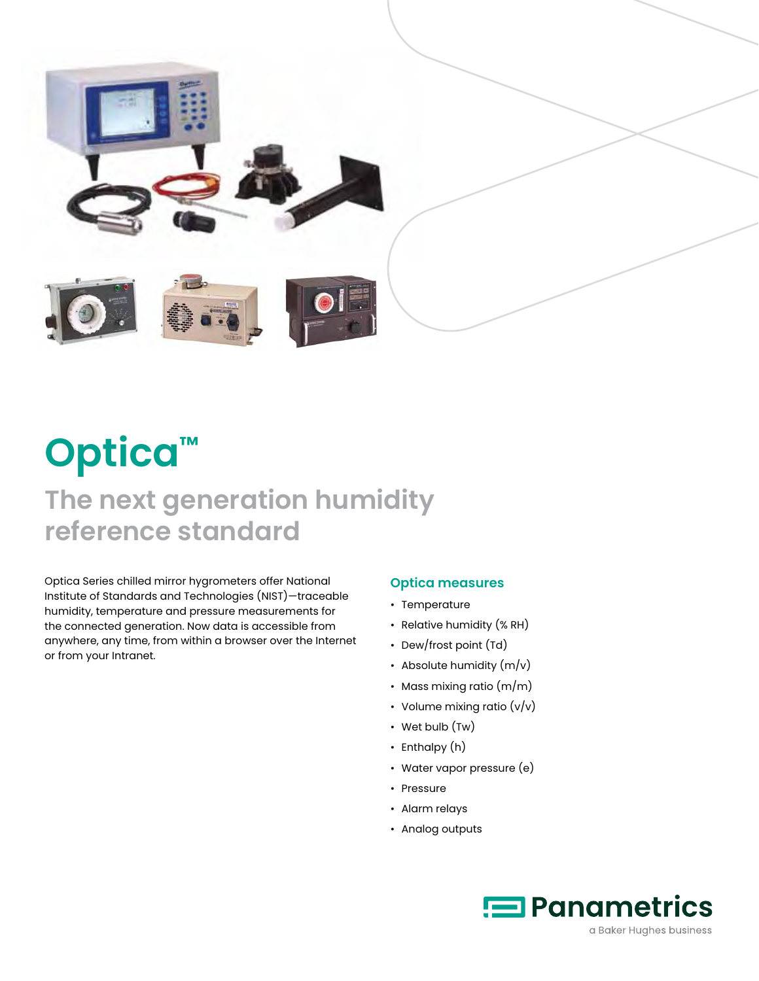

# **Optica™**

# **The next generation humidity reference standard**

Optica Series chilled mirror hygrometers offer National Institute of Standards and Technologies (NIST)—traceable humidity, temperature and pressure measurements for the connected generation. Now data is accessible from anywhere, any time, from within a browser over the Internet or from your Intranet.

## **Optica measures**

- Temperature
- Relative humidity (% RH)
- Dew/frost point (Td)
- Absolute humidity  $(m/v)$
- Mass mixing ratio (m/m)
- Volume mixing ratio (v/v)
- Wet bulb (Tw)
- Enthalpy (h)
- Water vapor pressure (e)
- Pressure
- Alarm relays
- Analog outputs

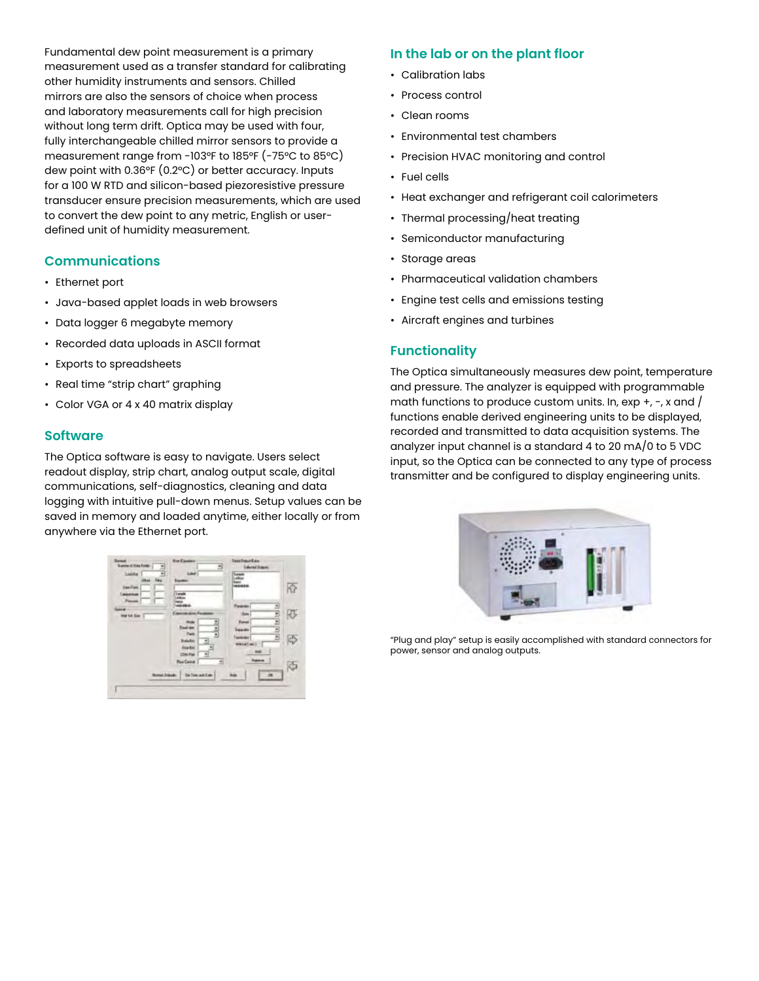Fundamental dew point measurement is a primary measurement used as a transfer standard for calibrating other humidity instruments and sensors. Chilled mirrors are also the sensors of choice when process and laboratory measurements call for high precision without long term drift. Optica may be used with four, fully interchangeable chilled mirror sensors to provide a measurement range from -103°F to 185°F (-75°C to 85°C) dew point with 0.36°F (0.2°C) or better accuracy. Inputs for a 100 W RTD and silicon-based piezoresistive pressure transducer ensure precision measurements, which are used to convert the dew point to any metric, English or userdefined unit of humidity measurement.

#### **Communications**

- Ethernet port
- Java-based applet loads in web browsers
- Data logger 6 megabyte memory
- Recorded data uploads in ASCII format
- Exports to spreadsheets
- Real time "strip chart" graphing
- Color VGA or 4 x 40 matrix display

#### **Software**

The Optica software is easy to navigate. Users select readout display, strip chart, analog output scale, digital communications, self-diagnostics, cleaning and data logging with intuitive pull-down menus. Setup values can be saved in memory and loaded anytime, either locally or from anywhere via the Ethernet port.



#### **In the lab or on the plant floor**

- Calibration labs
- Process control
- Clean rooms
- Environmental test chambers
- Precision HVAC monitoring and control
- Fuel cells
- Heat exchanger and refrigerant coil calorimeters
- Thermal processing/heat treating
- Semiconductor manufacturing
- Storage areas
- Pharmaceutical validation chambers
- Engine test cells and emissions testing
- Aircraft engines and turbines

#### **Functionality**

The Optica simultaneously measures dew point, temperature and pressure. The analyzer is equipped with programmable math functions to produce custom units. In,  $\exp +$ ,  $\exp x$  and  $\int$ functions enable derived engineering units to be displayed, recorded and transmitted to data acquisition systems. The analyzer input channel is a standard 4 to 20 mA/0 to 5 VDC input, so the Optica can be connected to any type of process transmitter and be configured to display engineering units.



"Plug and play" setup is easily accomplished with standard connectors for power, sensor and analog outputs.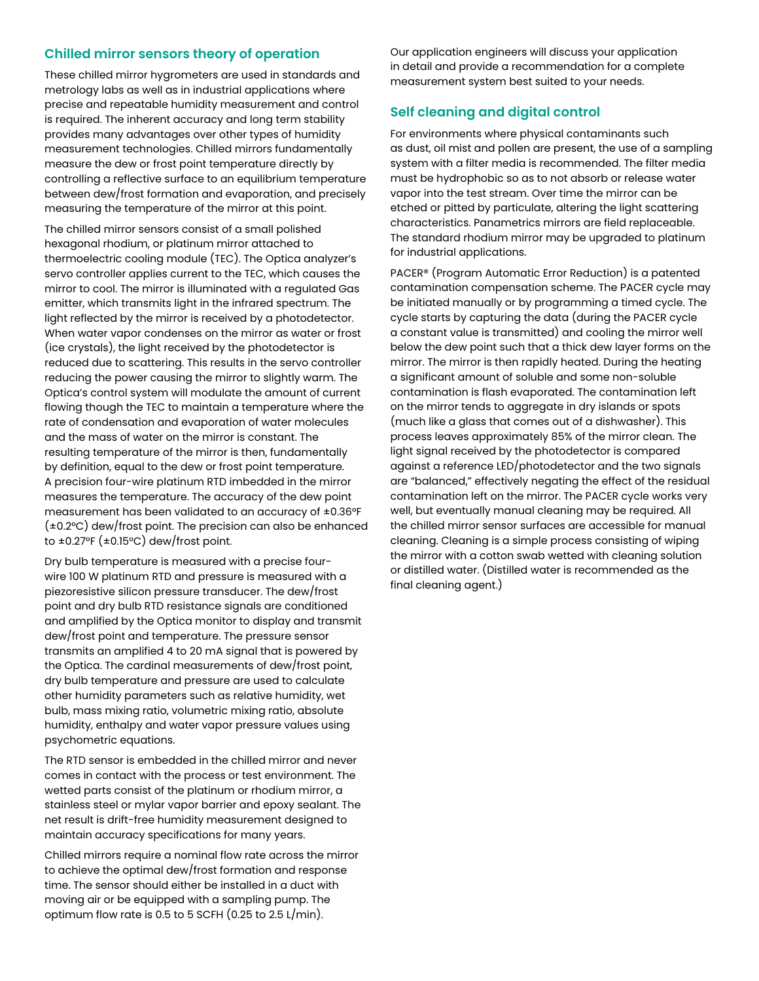### **Chilled mirror sensors theory of operation**

These chilled mirror hygrometers are used in standards and metrology labs as well as in industrial applications where precise and repeatable humidity measurement and control is required. The inherent accuracy and long term stability provides many advantages over other types of humidity measurement technologies. Chilled mirrors fundamentally measure the dew or frost point temperature directly by controlling a reflective surface to an equilibrium temperature between dew/frost formation and evaporation, and precisely measuring the temperature of the mirror at this point.

The chilled mirror sensors consist of a small polished hexagonal rhodium, or platinum mirror attached to thermoelectric cooling module (TEC). The Optica analyzer's servo controller applies current to the TEC, which causes the mirror to cool. The mirror is illuminated with a regulated Gas emitter, which transmits light in the infrared spectrum. The light reflected by the mirror is received by a photodetector. When water vapor condenses on the mirror as water or frost (ice crystals), the light received by the photodetector is reduced due to scattering. This results in the servo controller reducing the power causing the mirror to slightly warm. The Optica's control system will modulate the amount of current flowing though the TEC to maintain a temperature where the rate of condensation and evaporation of water molecules and the mass of water on the mirror is constant. The resulting temperature of the mirror is then, fundamentally by definition, equal to the dew or frost point temperature. A precision four-wire platinum RTD imbedded in the mirror measures the temperature. The accuracy of the dew point measurement has been validated to an accuracy of ±0.36°F (±0.2°C) dew/frost point. The precision can also be enhanced to  $\pm$ 0.27°F ( $\pm$ 0.15°C) dew/frost point.

Dry bulb temperature is measured with a precise fourwire 100 W platinum RTD and pressure is measured with a piezoresistive silicon pressure transducer. The dew/frost point and dry bulb RTD resistance signals are conditioned and amplified by the Optica monitor to display and transmit dew/frost point and temperature. The pressure sensor transmits an amplified 4 to 20 mA signal that is powered by the Optica. The cardinal measurements of dew/frost point, dry bulb temperature and pressure are used to calculate other humidity parameters such as relative humidity, wet bulb, mass mixing ratio, volumetric mixing ratio, absolute humidity, enthalpy and water vapor pressure values using psychometric equations.

The RTD sensor is embedded in the chilled mirror and never comes in contact with the process or test environment. The wetted parts consist of the platinum or rhodium mirror, a stainless steel or mylar vapor barrier and epoxy sealant. The net result is drift-free humidity measurement designed to maintain accuracy specifications for many years.

Chilled mirrors require a nominal flow rate across the mirror to achieve the optimal dew/frost formation and response time. The sensor should either be installed in a duct with moving air or be equipped with a sampling pump. The optimum flow rate is 0.5 to 5 SCFH (0.25 to 2.5 L/min).

Our application engineers will discuss your application in detail and provide a recommendation for a complete measurement system best suited to your needs.

## **Self cleaning and digital control**

For environments where physical contaminants such as dust, oil mist and pollen are present, the use of a sampling system with a filter media is recommended. The filter media must be hydrophobic so as to not absorb or release water vapor into the test stream. Over time the mirror can be etched or pitted by particulate, altering the light scattering characteristics. Panametrics mirrors are field replaceable. The standard rhodium mirror may be upgraded to platinum for industrial applications.

PACER® (Program Automatic Error Reduction) is a patented contamination compensation scheme. The PACER cycle may be initiated manually or by programming a timed cycle. The cycle starts by capturing the data (during the PACER cycle a constant value is transmitted) and cooling the mirror well below the dew point such that a thick dew layer forms on the mirror. The mirror is then rapidly heated. During the heating a significant amount of soluble and some non-soluble contamination is flash evaporated. The contamination left on the mirror tends to aggregate in dry islands or spots (much like a glass that comes out of a dishwasher). This process leaves approximately 85% of the mirror clean. The light signal received by the photodetector is compared against a reference LED/photodetector and the two signals are "balanced," effectively negating the effect of the residual contamination left on the mirror. The PACER cycle works very well, but eventually manual cleaning may be required. All the chilled mirror sensor surfaces are accessible for manual cleaning. Cleaning is a simple process consisting of wiping the mirror with a cotton swab wetted with cleaning solution or distilled water. (Distilled water is recommended as the final cleaning agent.)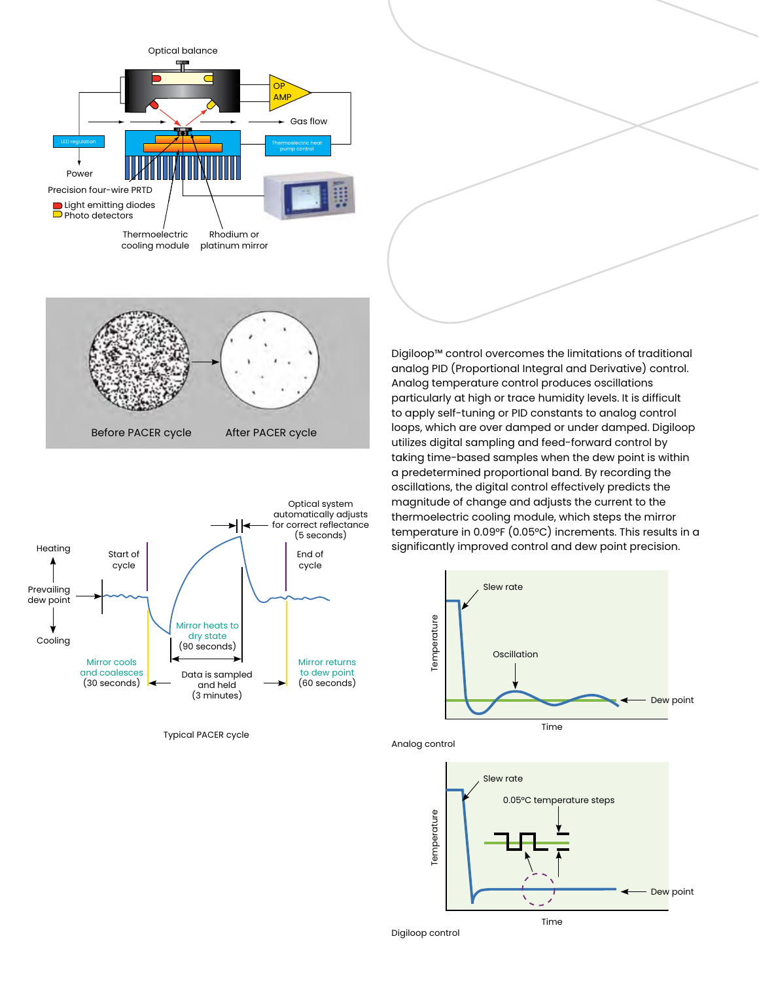

taking time-based sumples when the dew point is wit<br>a predetermined proportional band. By recording the cooling in control enectively predicts the<br>magnitude of change and adjusts the current to the Digiloop™ control overcomes the limitations of traditional analog PID (Proportional Integral and Derivative) control. analog r is (i reportional integral and benvalive) control<br>Analog temperature control produces oscillations andicy temperature control produces oscillations<br>particularly at high or trace humidity levels. It is difficult particularly at high or trace numbery levels. It is almoated<br>to apply self-tuning or PID constants to analog control loops, which are over damped or under damped. Digiloop loops, when are over damped or ander damped. Dighoop<br>utilizes digital sampling and feed-forward control by atinges digital sampling and leed Torward control by a proportional band. By recording the -based samples when the dew point is within oscillations, the digital control effectively predicts the magnitude of change and dajusts the carrent to the<br>thermoelectric cooling module, which steps the mirror temperature in 0.09°F (0.05°C) increments. This results in a 0.09°F (0.05°C) increments. This results in a significantly significantly improved control and dew point precision. Ignoop Control Overcomes the immutuons of trudition<br>exists PID (Presenting allabeared and Derivative) each opply sentiumly or no constants to analog control predetermined proportional band, by recording the imperature in 0.00 T (0.00 C) increments.  $\mathsf{I}$  control overcomes the limitations of tradition over a cover damped. Digital or under damped. Digital under damped. Digital under designation of the digital u<br>In an outlier digital under the unit of the under digital under the digital under the under digital under the digital control effectively predicted in the magnitude of  $\frac{1}{2}$  $\frac{1}{2}$ imperature in 0.09ºE (0.05ºC) increments p





Digiloop control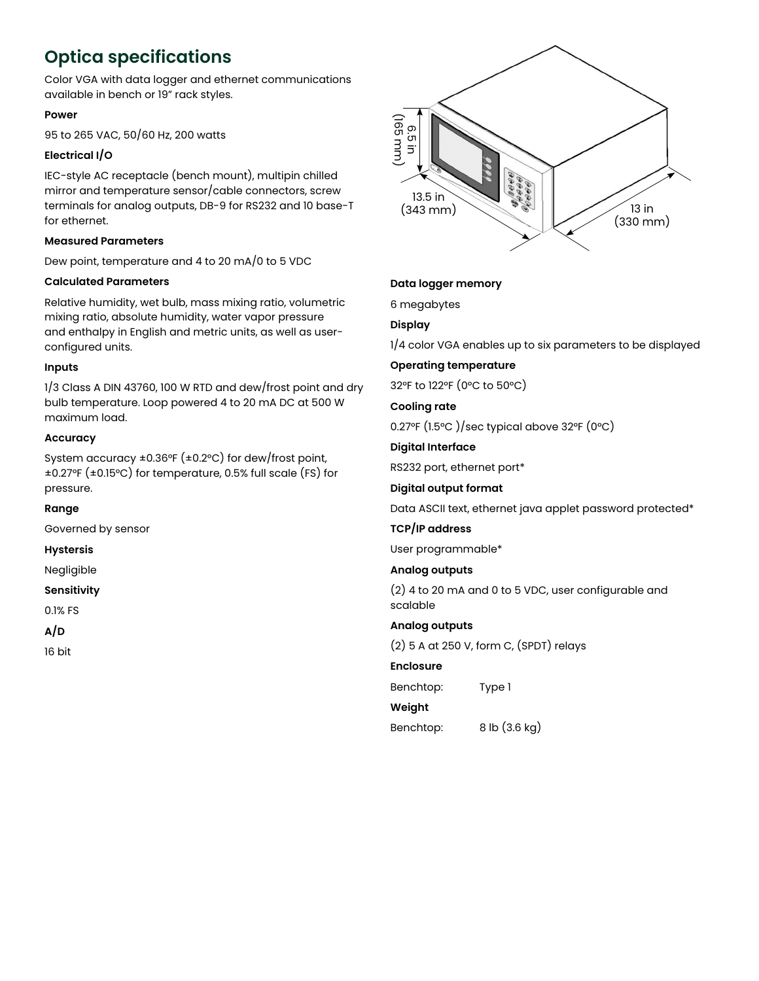# **Optica specifications**

Color VGA with data logger and ethernet communications available in bench or 19" rack styles.

#### **Power**

95 to 265 VAC, 50/60 Hz, 200 watts

### **Electrical I/O**

IEC-style AC receptacle (bench mount), multipin chilled mirror and temperature sensor/cable connectors, screw terminals for analog outputs, DB-9 for RS232 and 10 base-T for ethernet.

#### **Measured Parameters**

Dew point, temperature and 4 to 20 mA/0 to 5 VDC

#### **Calculated Parameters**

Relative humidity, wet bulb, mass mixing ratio, volumetric mixing ratio, absolute humidity, water vapor pressure and enthalpy in English and metric units, as well as userconfigured units.

#### **Inputs**

1/3 Class A DIN 43760, 100 W RTD and dew/frost point and dry bulb temperature. Loop powered 4 to 20 mA DC at 500 W maximum load.

#### **Accuracy**

System accuracy ±0.36°F (±0.2°C) for dew/frost point, ±0.27°F (±0.15°C) for temperature, 0.5% full scale (FS) for pressure.

**Range**

Governed by sensor

**Hystersis**

Negligible

**Sensitivity**

0.1% FS

**A/D**

16 bit



#### **Data logger memory**

6 megabytes

#### **Display**

1/4 color VGA enables up to six parameters to be displayed

#### **Operating temperature**

32°F to 122°F (0°C to 50°C)

#### **Cooling rate**

0.27°F (1.5°C )/sec typical above 32°F (0°C)

#### **Digital Interface**

RS232 port, ethernet port\*

#### **Digital output format**

Data ASCII text, ethernet java applet password protected\*

#### **TCP/IP address**

User programmable\*

#### **Analog outputs**

(2) 4 to 20 mA and 0 to 5 VDC, user configurable and scalable

#### **Analog outputs**

(2) 5 A at 250 V, form C, (SPDT) relays

#### **Enclosure**

Benchtop: Type 1

### **Weight**

Benchtop: 8 lb (3.6 kg)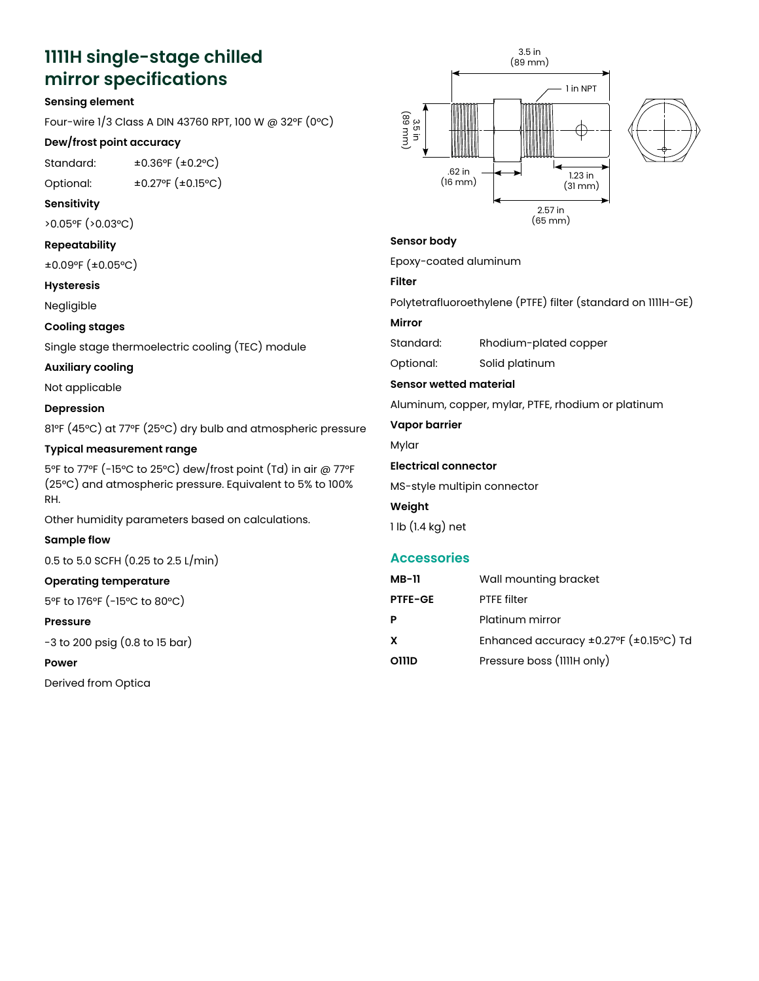# **1111H single-stage chilled**  1111H Single-Stage Chilled **mirror specifications**<br><sub>Sensing element</sub>

#### **Sensing element**

Four-wire 1/3 Class A DIN 43760 RPT, 100 W @ 32°F (0°C) **Sensing Element**

### Dew/frost point accuracy

Standard: ±0.36°F (±0.2°C)

Optional: ±0.27°F (±0.15°C) **Dew/Frost Point Accuracy**

#### **Sensitivity** Standard: ±0.36°F (±0.2°C)  $\mathbf{C}$ F ( $\mathbf{C}$ ):  $\mathbf{C}$   $\mathbf{C}$   $\mathbf{C}$   $\mathbf{C}$   $\mathbf{C}$   $\mathbf{C}$   $\mathbf{C}$   $\mathbf{C}$   $\mathbf{C}$   $\mathbf{C}$   $\mathbf{C}$   $\mathbf{C}$   $\mathbf{C}$   $\mathbf{C}$   $\mathbf{C}$   $\mathbf{C}$   $\mathbf{C}$   $\mathbf{C}$   $\mathbf{C}$   $\mathbf{C}$   $\mathbf{C}$   $\mathbf{C}$   $\$

>0.05°F (>0.03°C)

#### **Repeatability Sensitivity**

±0.09°F (±0.05°C) >0.05°F (>0.03°C)

#### **Hysteresis Repeatability**

Negligible<br>.

#### **Cooling stages**

Single stage thermoelectric cooling (TEC) module **Hysteresis**

# **Auxiliary cooling** Negligible

Not applicable **Cooling Stages**

#### **Depression**  $sion$  . Thermoelectric cooling (TEC) module  $\mathcal{L}(\mathcal{T})$  module  $\mathcal{T}(\mathcal{T})$

81°F (45°C) at 77°F (25°C) dry bulb and atmospheric pressure

#### **Typical measurement range Auxiliary Cooling**  $\sum_{i=1}^{n}$

5°F to 77°F (-15°C to 25°C) dew/frost point (Td) in air @ 77°F (25°C) and atmospheric pressure. Equivalent to 5% to 100%<br><sub>P</sub>u RH.

Other humidity parameters based on calculations.

#### **Sample flow**

0.5 to 5.0 SCFH (0.25 to 2.5 L/min) **Typical Measurement Range**

#### Operating temperature *Acceptoin 1999 (-15°C)*  $\frac{1}{2}$ <sup>7</sup>F (25°C) and atmospheric pressure. Equivalent to  $\frac{1}{2}$

5°F to 176°F (-15°C to 80°C)

#### **Pressure** Other humidity parameters based on calculations.

-3 to 200 psig (0.8 to 15 bar)<br>-

#### **Power**

Derived from Optica





# **Sensor Body Sensor body**

Epoxy-coated aluminum Epoxy-coated aluminum

## **Filter**

ا<br>http:<del>r</del> Polytetrafluoroethylene (PTFE) filter (standard on 1111H-Polytetrafluoroethylene (PTFE) filter (standard on 1111H-GE)

## GE) **Mirror**

Standard: Rhodium-plated copper

**Optional:** Solid platinum

#### Standard: Rhodium-plated copper Sensor wetted material

Aluminum, copper, mylar, PTFE, rhodium or platinum

**Sensor Wetted Material Vapor barrier**

 $\mathbf{r}$ Mylar

#### **Vapor Barrier Electrical connector**

MS-style multipin connector

#### **Weight**

**Electrical Connector** 1 lb (1.4 kg) net

### **Accessories**

| MB-11          | Wall mounting bracket                               |
|----------------|-----------------------------------------------------|
| <b>PTFE-GE</b> | <b>PTFF</b> filter                                  |
| Р              | Platinum mirror                                     |
| x              | Enhanced accuracy $\pm 0.27$ °F ( $\pm 0.15$ °C) Td |
| O111D          | Pressure boss (IIIIH only)                          |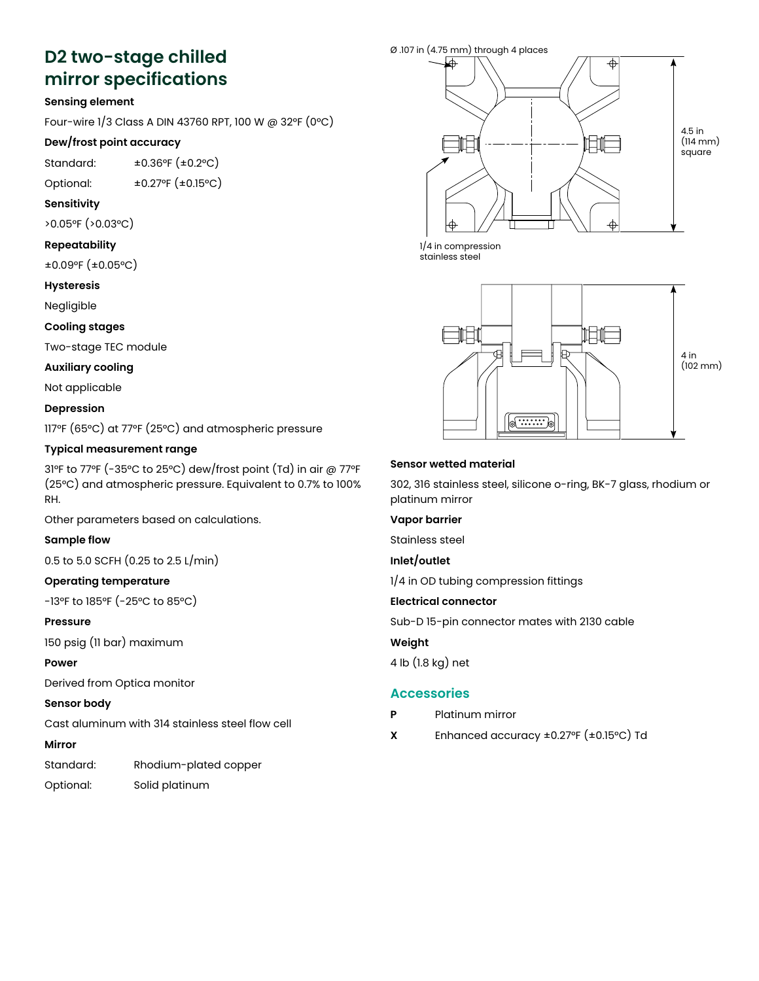# D2 two-stage chilled **mirror specifications** Specifications

#### **Sensing element**

Four-wire 1/3 Class A DIN 43760 RPT, 100 W @ 32°F (0°C) **Sensing Element**

## Dew/frost point accuracy

Standard: ±0.36°F (±0.2°C)

Optional: ±0.27°F (±0.15°C) **Dew/Frost Point Accuracy**  $\pm$ 0.27 F ( $\pm$ 0.15  $\pm$ )

#### **Sensitivity**  $\mathbf{y}$

>0.05°F (>0.03°C)

## **Repeatability Sensitivity**

±0.09°F (±0.05°C)  $\frac{1}{\sqrt{2}}$ 

#### **Hysteresis Repeatability**

Negligible  $\pm$ 

#### **Cooling stages**

Two-stage TEC module **Hysteresis** gunde in de

#### **Auxiliary cooling**

Not applicable **Cooling Stages**

#### **Depression**  $\mathbf{p}$

117°F (65°C) at 77°F (25°C) and atmospheric pressure **Auxiliary Cooling**

#### **Typical measurement range** neasurement r

31°F to 77°F (-35°C to 25°C) dew/frost point (Td) in air @ 77°F (25°C) and atmospheric pressure. Equivalent to 0.7% to 100% **Depression** RH.

Other parameters based on calculations.

#### **Sample flow Typical Measurement Range**

0.5 to 5.0 SCFH (0.25 to 2.5 L/min)  $\frac{1}{2}$ <sup>T</sup> (25° to 2.0  $\frac{1}{2}$  mass

#### Operating temperature

-13°F to 185°F (-25°C to 85°C) *Other parameters based on calculations.*

#### **Pressure**

150 psig (11 bar) maximum **Sample Flow**  $\overline{0}$ . To  $\overline{0}$ . Thus in the  $\overline{0}$ 

#### **Power**

Derived from Optica monitor

#### **Sensor body**  $\frac{1}{2}$

Cast aluminum with 314 stainless steel flow cell **Pressure**

#### **Mirror**

Standard: Rhodium-plated copper

Optional: Solid platinum Derived from Optica monitor



1/4 in compression stainless steel



#### **Sensor Wetted Material Sensor wetted material**

302, 316 stainless steel, silicone o-ring, BK-7 glass, 302, 316 stainless steel, silicone o-ring, BK-7 glass, rhodium or platinum mirror

#### **Vapor barrier**

Stainless steel

# Inlet/outlet

1/4 in OD tubing compression fittings

#### 1/4 in OD tubing compression fittings **Electrical connector**

Sub-D 15-pin connector mates with 2130 cable

#### **Electrical Connector Weight**

 $\mathcal{S}$ 4 lb (1.8 kg) net

#### **Weight** 4 lb (1.8 kg) net **Accessories**

- **P** Platinum mirror
- **Accessories X** Enhanced accuracy ±0.27°F (±0.15°C) Td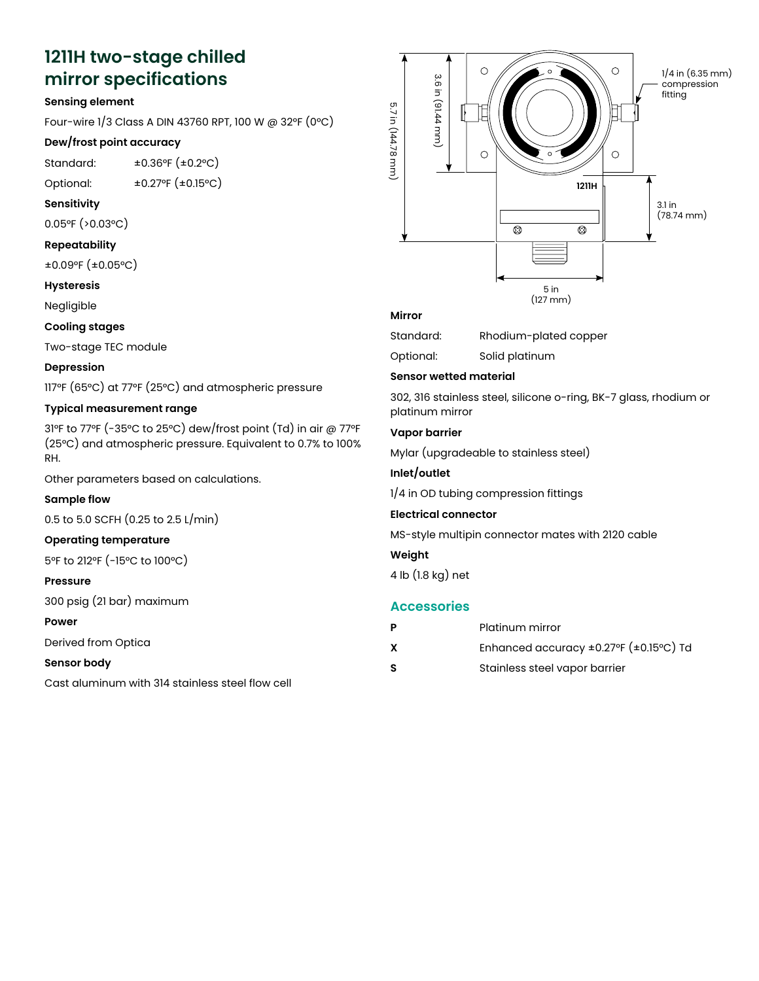# **1211H two-stage chilled**  1211H Two-Stage Chilled **mirror specifications** Mirror Specifications

#### **Sensing element**

Four-wire 1/3 Class A DIN 43760 RPT, 100 W @ 32°F (0°C) **Sensing Element**  $\frac{1}{2}$  C  $\frac{1}{2}$  C  $\frac{1}{2}$  C  $\frac{1}{2}$  C  $\frac{1}{2}$  C  $\frac{1}{2}$  C  $\frac{1}{2}$  C  $\frac{1}{2}$  C  $\frac{1}{2}$  C  $\frac{1}{2}$  C  $\frac{1}{2}$  C  $\frac{1}{2}$  C  $\frac{1}{2}$  C  $\frac{1}{2}$  C  $\frac{1}{2}$  C  $\frac{1}{2}$  C  $\frac{1}{2}$  C  $\frac{1}{2}$  C  $\frac{1$ 

#### **Dew/frost point accuracy**

Standard: ±0.36°F (±0.2°C) **Dew/Frost Point Accuracy**

Optional: ±0.27°F (±0.15°C) Standard: ±0.36°F (±0.2°C)

#### **Sensitivity** Optional: ±0.27°F (±0.15°C)

0.05°F (>0.03°C) **Sensitivity**

#### Repeatability

±0.09°F (±0.05°C)

#### **Hysteresis Repeatability**  $\pm$  0.05°F ( $\pm$ 0.05°C)

Negligible

## **Cooling stages Hysteresis**

Two-stage TEC modul<mark>e</mark>

#### **Depression**

117°F (65°C) at 77°F (25°C) and atmospheric pressure **Cooling Stages**  $\sigma$ <sub>c</sub>  $\sigma$  and  $\sigma$   $\sigma$   $\sigma$   $\sigma$   $\sigma$   $\sigma$   $\sigma$ 

#### **Typical measurement range**

31°F to 77°F (-35°C to 25°C) dew/frost point (Td) in air @ 77°F **Depression**  $(25°C)$  and atmospheric pressure. Equivalent to 0.7% to 100% RH.

Other parameters based on calculations. **Typical Measurement Range**

#### **Sample flow**  $\mathbf{S}^{\text{1}}$  to  $\mathbf{S}^{\text{2}}$

0.5 to 5.0 SCFH (0.25 to 2.5 L/min)  $\frac{1}{2}$ F (25°C) and at mospheric pressure. Equivalent to 0.7% and at mospheric pressure. Equivalent to 0.7% and 0.7% and 0.7% and 0.7% and 0.7% and 0.7% and 0.7% and 0.7% and 0.7% and 0.7% and 0.7% and 0.7% and 0.7% and  $\overline{0}$ . 5.0 SCFH  $(0.2)$ 

## **Operating temperature** *Other parameters based on calculations.*

5°F to 212°F (-15°C to 100°C) **Sample Flow**

#### **Pressure**  $\overline{\phantom{a}}$

300 psig (21 bar) maximum

#### **Power Operating Temperature**

Derived from Optica

#### **Sensor body Pressure**

Cast aluminum with 314 stainless steel flow cell aluminum with 314 stainles



#### **Mirror**

| Standard: | Rhodium-plated copper |  |
|-----------|-----------------------|--|
|           |                       |  |

Standard: Rhodium-plated copper Optional: Solid platinum

## Sensor wetted material

**Sensor Wetted Material** platinum mirror 302, 316 stainless steel, silicone o-ring, BK-7 glass, 302, 316 stainless steel, silicone o-ring, BK-7 glass, rhodium or

## Vapor barrier

Mylar (upgradeable to stainless steel)

## **Vapor Barrier Inlet/outlet**

1/4 in OD tubing compression fittings

## **Inlet/Outlet Electrical connector**

MS-style multipin connector mates with 2120 cable

#### **Weight**

**Electrical Connector** 4 lb (1.8 kg) net  $\mathcal{L}_{\mathcal{L}}$ 

### **Accessories**

|    | Platinum mirror                                     |
|----|-----------------------------------------------------|
| X  | Enhanced accuracy $\pm 0.27$ °F ( $\pm 0.15$ °C) Td |
| -S | Stainless steel vapor barrier                       |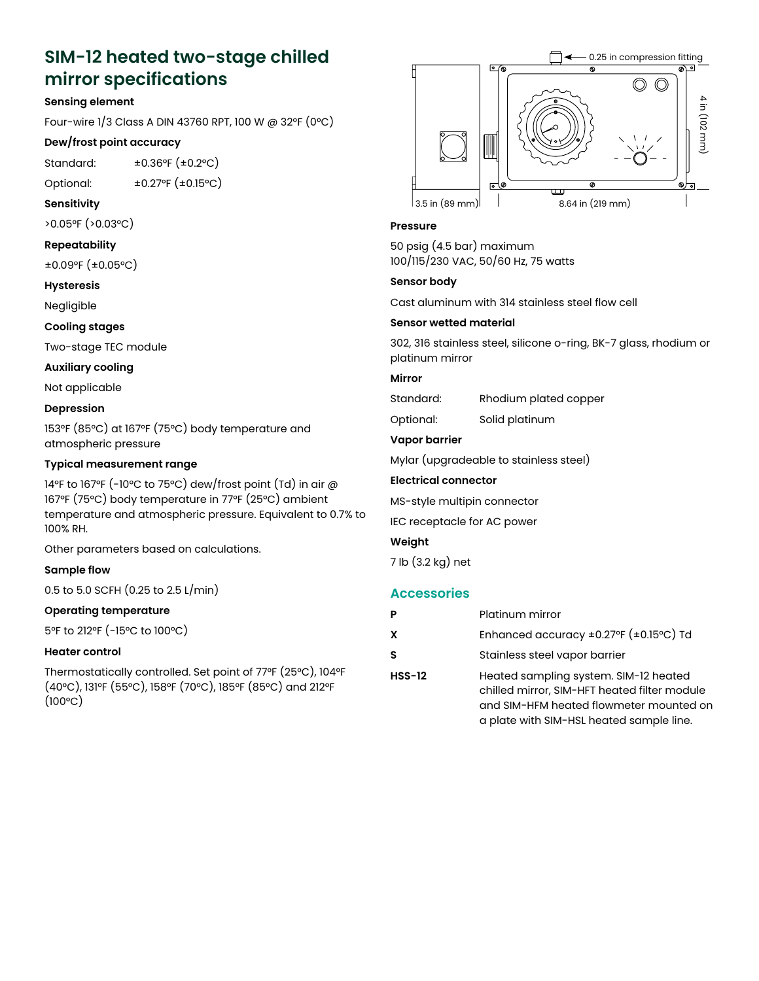# **SIM-12 heated two-stage chilled mirror specifications**

#### **Sensing element**

Four-wire 1/3 Class A DIN 43760 RPT, 100 W @ 32°F (0°C)

#### **Dew/frost point accuracy**

Standard: ±0.36°F (±0.2°C)

Optional: ±0.27°F (±0.15°C)

#### **Sensitivity**

>0.05°F (>0.03°C)

#### **Repeatability**

±0.09°F (±0.05°C)

#### **Hysteresis**

Negligible

#### **Cooling stages**

Two-stage TEC module

#### **Auxiliary cooling**

Not applicable

#### **Depression**

153°F (85°C) at 167°F (75°C) body temperature and atmospheric pressure

#### **Typical measurement range**

14°F to 167°F (-10°C to 75°C) dew/frost point (Td) in air @ 167°F (75°C) body temperature in 77°F (25°C) ambient temperature and atmospheric pressure. Equivalent to 0.7% to 100% RH.

Other parameters based on calculations.

#### **Sample flow**

0.5 to 5.0 SCFH (0.25 to 2.5 L/min)

#### **Operating temperature**

5°F to 212°F (-15°C to 100°C)

#### **Heater control**

Thermostatically controlled. Set point of 77°F (25°C), 104°F (40°C), 131°F (55°C), 158°F (70°C), 185°F (85°C) and 212°F  $(100°C)$ 



#### **Pressure**

50 psig (4.5 bar) maximum 100/115/230 VAC, 50/60 Hz, 75 watts

#### **Sensor body**

Cast aluminum with 314 stainless steel flow cell

#### **Sensor wetted material**

302, 316 stainless steel, silicone o-ring, BK-7 glass, rhodium or platinum mirror

#### **Mirror**

Standard: Rhodium plated copper

Optional: Solid platinum

#### **Vapor barrier**

Mylar (upgradeable to stainless steel)

#### **Electrical connector**

MS-style multipin connector

IEC receptacle for AC power

#### **Weight**

7 lb (3.2 kg) net

### **Accessories**

|          | Platinum mirror                                                                                                                                                              |
|----------|------------------------------------------------------------------------------------------------------------------------------------------------------------------------------|
| x        | Enhanced accuracy ±0.27°F (±0.15°C) Td                                                                                                                                       |
| s        | Stainless steel vapor barrier                                                                                                                                                |
| $HSS-12$ | Heated sampling system. SIM-12 heated<br>chilled mirror, SIM-HFT heated filter module<br>and SIM-HFM heated flowmeter mounted on<br>a plate with SIM-HSL heated sample line. |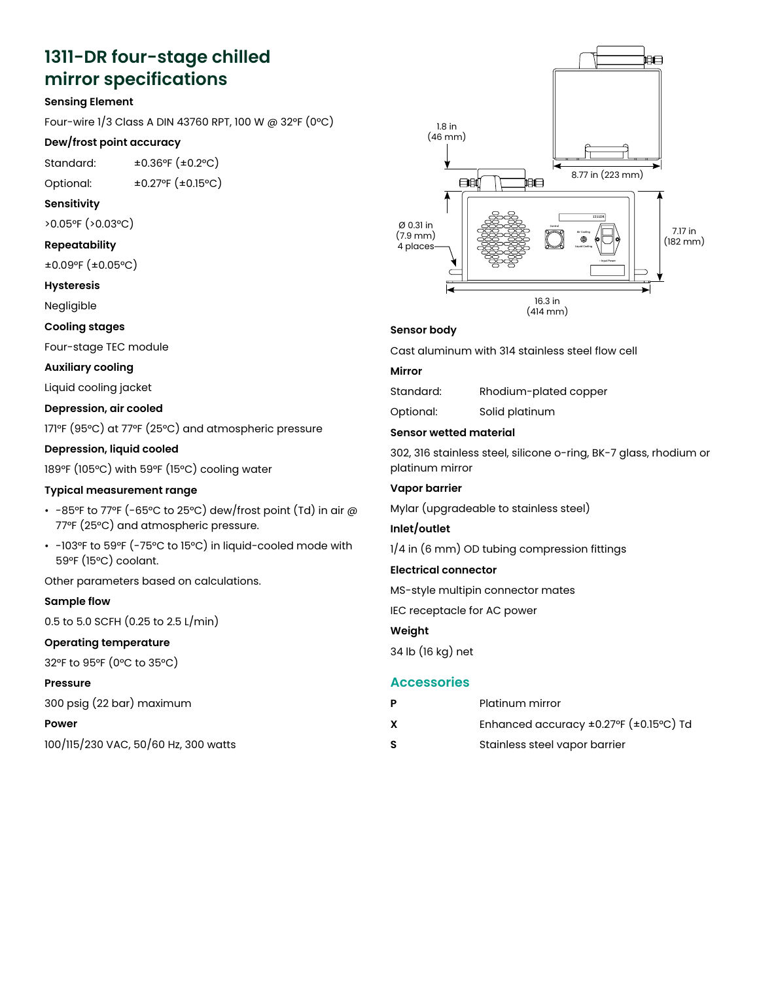# **1311-DR four-stage chilled**  1311-DR Four-Stage Chilled **mirror specifications** Mirror Specifications

#### **Sensing Element**

Four-wire 1/3 Class A DIN 43760 RPT, 100 W @ 32°F (0°C) **Sensing Element**

## Dew/frost point accuracy

Standard: ±0.36°F (±0.2°C)

Optional: ±0.27°F (±0.15°C) **Dew/Frost Point Accuracy**  $\text{J}$ Gi.com  $\text{J}$   $\text{J}$   $\text{J}$   $\text{J}$   $\text{J}$   $\text{J}$   $\text{J}$   $\text{J}$   $\text{J}$   $\text{J}$   $\text{J}$   $\text{J}$   $\text{J}$   $\text{J}$   $\text{J}$   $\text{J}$   $\text{J}$   $\text{J}$   $\text{J}$   $\text{J}$   $\text{J}$   $\text{J}$   $\text{J}$   $\text{J}$   $\text{J}$   $\text{J}$ 

#### $\blacksquare$  **Sensitivity**

>0.05°F (>0.03°C)

# **Repeatability Sensitivity**

±0.09°F (±0.05°C)  $\frac{1}{2}$ 

## **Hysteresis Repeatability**

Negligible

#### **Cooling stages**

Four-stage TEC module **Hysteresis** age ito i

#### **Auxiliary cooling**

Liquid cooling jacket

## Depression, air cooled

171°F (95°C) at 77°F (25°C) and atmospheric pressure **Auxiliary Cooling**

#### **Depression, liquid cooled** sion, liquid cooled

189°F (105°C) with 59°F (15°C) cooling water

## **Typical measurement range Depression, Air Cooled**

- -85°F to 77°F (-65°C to 25°C) dew/frost point (Td) in air  $\oslash$ 77°F (25°C) and atmospheric pressure.
- -103°F to 59°F (-75°C to 15°C) in liquid-cooled mode with **Depression, Liquid Cooled** 59°F (15°C) coolant.  $(1500)$  coolent

Other parameters based on calculations.<br>``

#### **Sample flow** • -85°F to 77°F (-65°C to 25°C) dew/frost point (Td) in air

0.5 to 5.0 SCFH (0.25 to 2.5 L/min)

#### Operating temperature  $\mathbf{r} = \mathbf{r} - \mathbf{r} - \mathbf{r} - \mathbf{r} - \mathbf{r} - \mathbf{r} - \mathbf{r} - \mathbf{r} - \mathbf{r} - \mathbf{r} - \mathbf{r} - \mathbf{r} - \mathbf{r} - \mathbf{r} - \mathbf{r} - \mathbf{r} - \mathbf{r} - \mathbf{r} - \mathbf{r} - \mathbf{r} - \mathbf{r} - \mathbf{r} - \mathbf{r} - \mathbf{r} - \mathbf{r} - \mathbf{r} - \mathbf{r} - \mathbf{r} - \mathbf{r} - \mathbf{r} - \mathbf$

32°F to 95°F (0°C to 35°C) *Other parameters based on calculations.*

#### **Pressure**

300 psig (22 bar) maximum **Sample Flow**  $9(22.59)$  Maximum

#### **Power**

100/115/230 VAC, 50/60 Hz, 300 watts **Operating Temperature**



## **Sensor Body Sensor body**

Cast aluminum with 314 stainless steel flow cell Cast aluminum with 314 stainless steel flow cell

## **Mirror Mirror**

Standard: Rhodium-plated copper Standard: Rhodium-plated copper

Optional: Solid platinum Optional: Solid platinum

# **Sensor Wetted Material Sensor wetted material**

302, 316 stainless steel, silicone o-ring, BK-7 glass, 302, 316 stainless steel, silicone o-ring, BK-7 glass, rhodium or platinum mirror

#### **Vapor barrier**

**Vapor Barrier** Mylar (upgradeable to stainless steel)

#### $\mathcal{M}$  and  $\mathcal{M}$ **Inlet/outlet**

1/4 in (6 mm) OD tubing compression fittings

#### 1/4 in (6 mm) OD tubing compression fittings **Electrical connector**

MS-style multipin connector mates

recontacle for  $\Lambda$ C nov IEC receptacle for AC power

#### **Weight**

34 lb (16 kg) net

## 34 lb (16 kg) net **Accessories**

| - P | Platinum mirror                                     |
|-----|-----------------------------------------------------|
| X   | Enhanced accuracy $\pm 0.27$ °F ( $\pm 0.15$ °C) Td |
| - S | Stainless steel vapor barrier                       |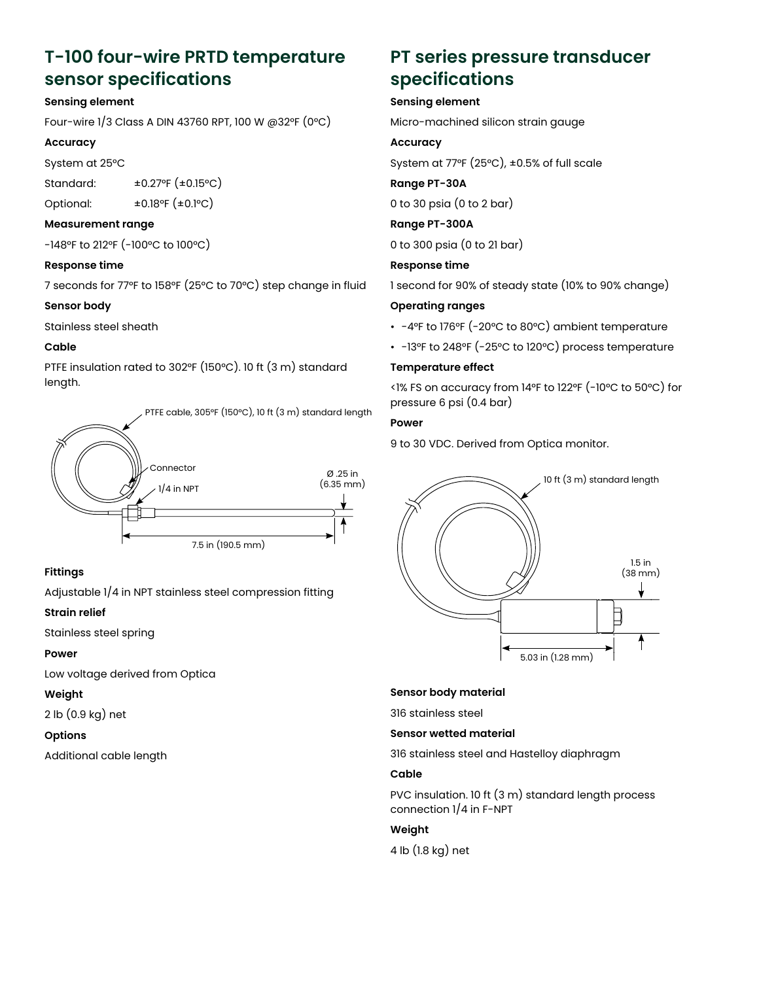# **T-100 four-wire PRTD temperature sensor specifications**

#### **Sensing element**

Four-wire 1/3 Class A DIN 43760 RPT, 100 W @32°F (0°C)

#### **Accuracy**

System at 25°C

Standard: ±0.27°F (±0.15°C)

Optional: ±0.18°F (±0.1°C)

#### **Measurement range**

-148°F to 212°F (-100°C to 100°C)

#### **Response time**

7 seconds for 77°F to 158°F (25°C to 70°C) step change in fluid

#### **Sensor body**

Stainless steel sheath

#### **Cable**

PTFE insulation rated to 302°F (150°C). 10 ft (3 m) standard length.

PTFE cable, 305°F (150°C), 10 ft (3 m) standard length



#### **Fittings**

Adjustable 1/4 in NPT stainless steel compression fitting

#### **Strain relief**

Stainless steel spring

#### **Power**

Low voltage derived from Optica

#### **Weight**

2 lb (0.9 kg) net

#### **Options**

Additional cable length

# **PT series pressure transducer specifications**

#### **Sensing element**

Micro-machined silicon strain gauge

#### **Accuracy**

System at 77°F (25°C), ±0.5% of full scale

#### **Range PT-30A**

0 to 30 psia (0 to 2 bar)

**Range PT-300A**

0 to 300 psia (0 to 21 bar)

**Response time**

1 second for 90% of steady state (10% to 90% change)

#### **Operating ranges**

- -4°F to 176°F (-20°C to 80°C) ambient temperature
- -13°F to 248°F (-25°C to 120°C) process temperature

#### **Temperature effect**

<1% FS on accuracy from 14°F to 122°F (-10°C to 50°C) for pressure 6 psi (0.4 bar)

#### **Power**

9 to 30 VDC. Derived from Optica monitor.



#### **Sensor body material**

316 stainless steel

#### **Sensor wetted material**

316 stainless steel and Hastelloy diaphragm

#### **Cable**

PVC insulation. 10 ft (3 m) standard length process connection 1/4 in F-NPT

### **Weight**

4 lb (1.8 kg) net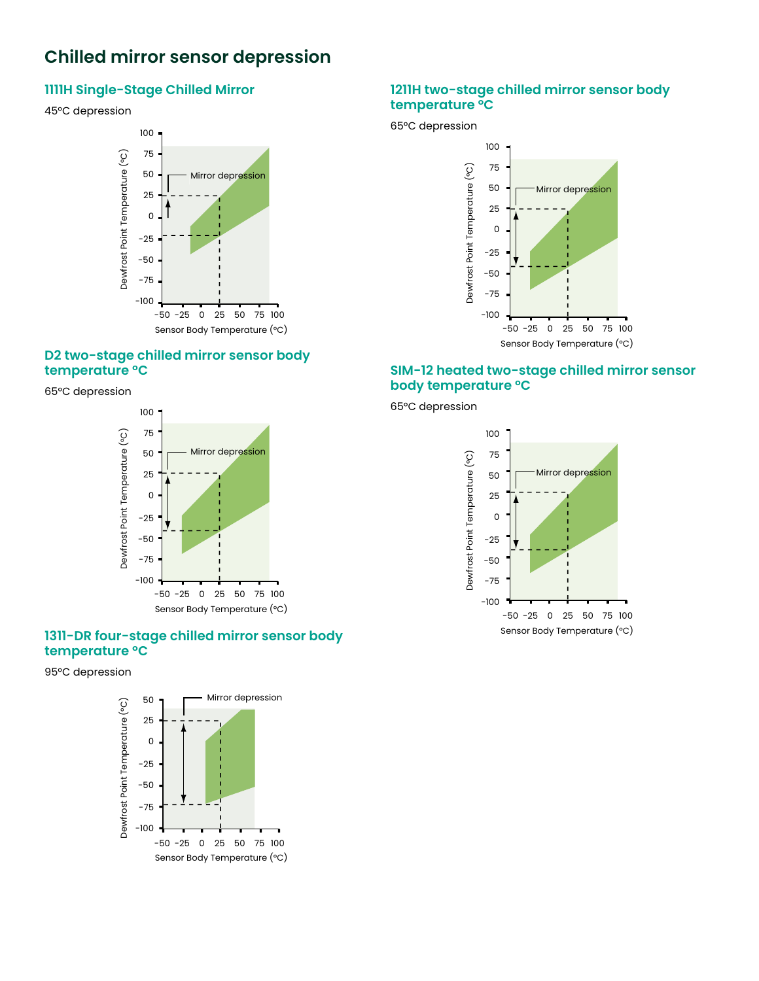#### **Chilled mirror sensor depression** Depression nilled mirror sensor depressid hilled mirror sensor depressio

#### **1111H Single-Stage Chilled Mirror 1111H Single-Stage Chilled Mirror** 45°C depression 45°C depression Chilled Mirror Sensor Single-Stage Chill

# 45°C depression 45°C depression Depression



#### **D2 Two-Stage Chilled Mirror Sensor D2 two-stage chilled mirror sensor body temperature °C Body Temperature °C** who-stage chilled mirror sensor body **Ro** mperature to

**Body Temperature °C** 65°C depression 65°C depression



# **1311-DR Four-Stage Chilled Mirror temperature °C Sensor Body Temperature °C 1311-DR Four-Stage Chilled Mirror 1311-DR four-stage chilled mirror sensor body**

# **Sensor Body Temperature °C** 95°C depression 95°C depression



#### **1211H two-stage chilled mirror sensor body Body Temperature °C temperature °C** 65°C depression **Body Temperature °C**

65°C depression 65°C depression



# **SIM-12 heated two-stage chilled mirror sensor body temperature °C**

**Mirror Sensor Body Temperature °C** 65°C depression

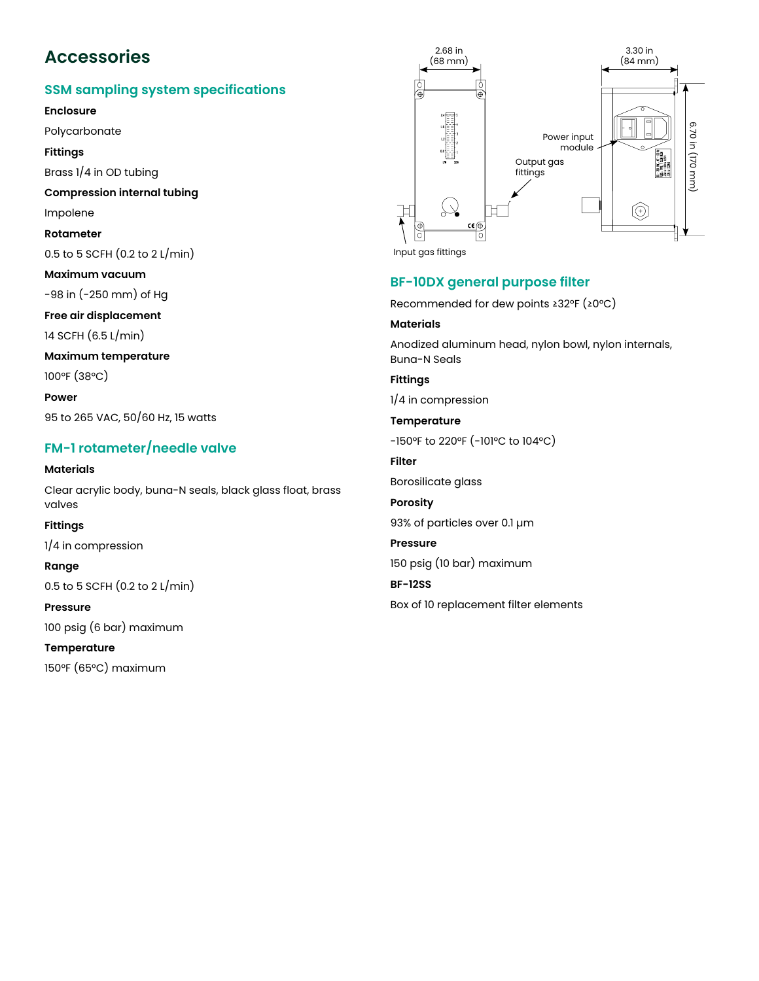# **Accessories** Accessories

# **SSM sampling system specifications SSM Sampling System Specifications**

**Enclosure**

Polycarbonate

Fittings

Brass 1/4 in OD tubing

**Compression internal tubing Fittings** Brassion international

Impolene

**Rotameter** 

 $0.5$  to  $5$  SCFH  $(0.2 \text{ to } 2 \text{ L/min})$ 

**Maximum vacuum Rotameter**

-98 in (-250 mm) of Hg or Hg (250 mm) or Hg

**Free air displacement**

14 SCFH (6.5 L/min)

# Maximum temperature

100°F (38°C)  $\begin{bmatrix} 30 & 1 \end{bmatrix}$ 

**Power** 95 to 265 VAC, 50/60 Hz, 15 watts  $\mathbf{r} = \mathbf{r} \cdot \mathbf{r}$ 

## FM-1 rotameter/needle valve

**Materials** Clear acrylic body, buna-N seals, black glass float, brass **Power** valves  $\frac{95.7}{100.50}$  so  $\frac{1}{2}$  which is too and stated

**Fittings**

. . . . . . . **.**<br>1/4 in compression

**Range Materials**

0.5 to 5 SCFH (0.2 to 2 L/min)  $\overline{5}$  SCFH (0.2 to 2 L/min)

Pressure

100 psig (6 bar) maximum **Fittings**

**Temperature** erature

150°F (65°C) maximum



## **BF-10DX general purpose filter**

**BF-10DX General Purpose Filter** Recommended for dew points ≥32°F (≥0°C)

#### **Materials**

Recommended for dew points ≥32°F (≥0°C) Buna-N Seals Anodized aluminum head, nylon bowl, nylon internals,

Anodized aluminum head, nylon bowl, nylon bowl, nylon bowl, nylon internals, nylon internals, nylon internals, ny **Fittings**

 $1/4$  in compression

**FOOT** to  $-150^{\circ}$ F to 220°F ( $-101^{\circ}$ C to 104°C) Borosilicate glass -150°F to 220°F (-101°C to 104°C) **Porosity Filter** Pressure **Porosity BF-12SS Temperature Filter** 93% of particles over 0.1 µm 150 psig (10 bar) maximum

Box of 10 replacement filter elements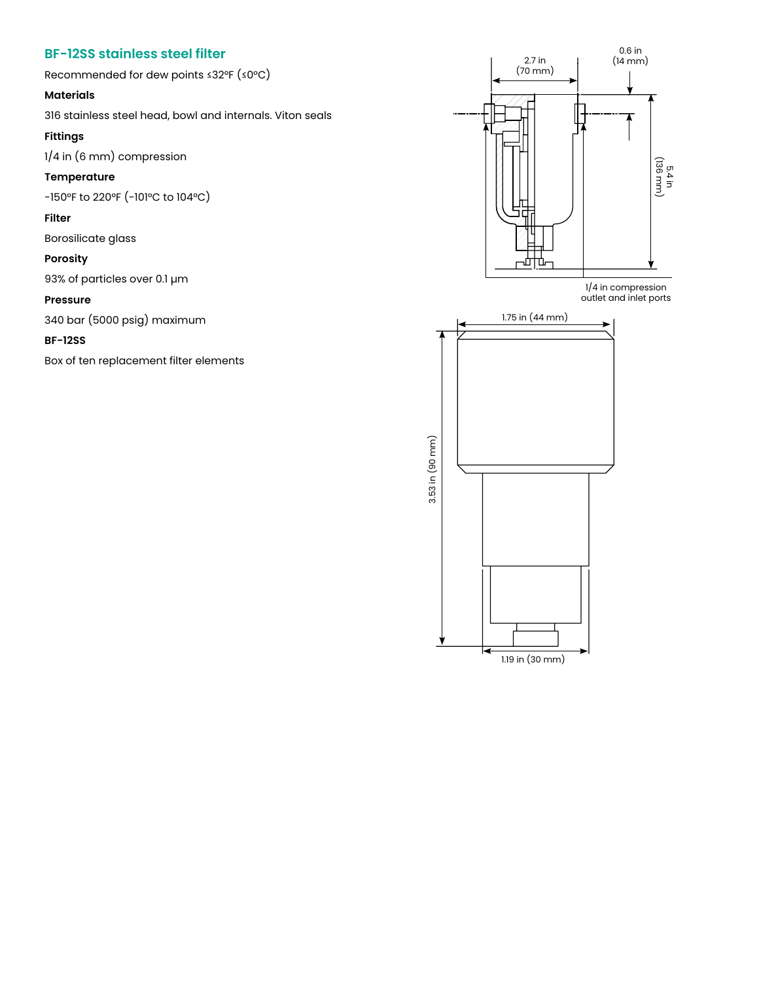## **BF-12SS stainless steel filter BF-12SS Stainless Steel Filter**

Recommended for dew points ≤32°F (≤0°C)

#### **Materials**  $\mathbf{R}$

316 stainless steel head, bowl and internals. Viton seals **Materials**

### **Fittings**

1/4 in (6 mm) compression

## Temperature

-150°F to 220°F (-101°C to 104°C)

#### **Filter**

Borosilicate glass

#### **Porosity**

93% of particles over 0.1 µm **Filter** Borosilicate glass

#### **Pressure**

340 bar (5000 psig) maximum **Porosity**

#### **BF-12SS**  $\mathbf{S}$  of particles over  $\mathbf{S}$  over  $\mathbf{S}$

Box of ten replacement filter elements<br>**Pressure** 



1.19 in (30 mm)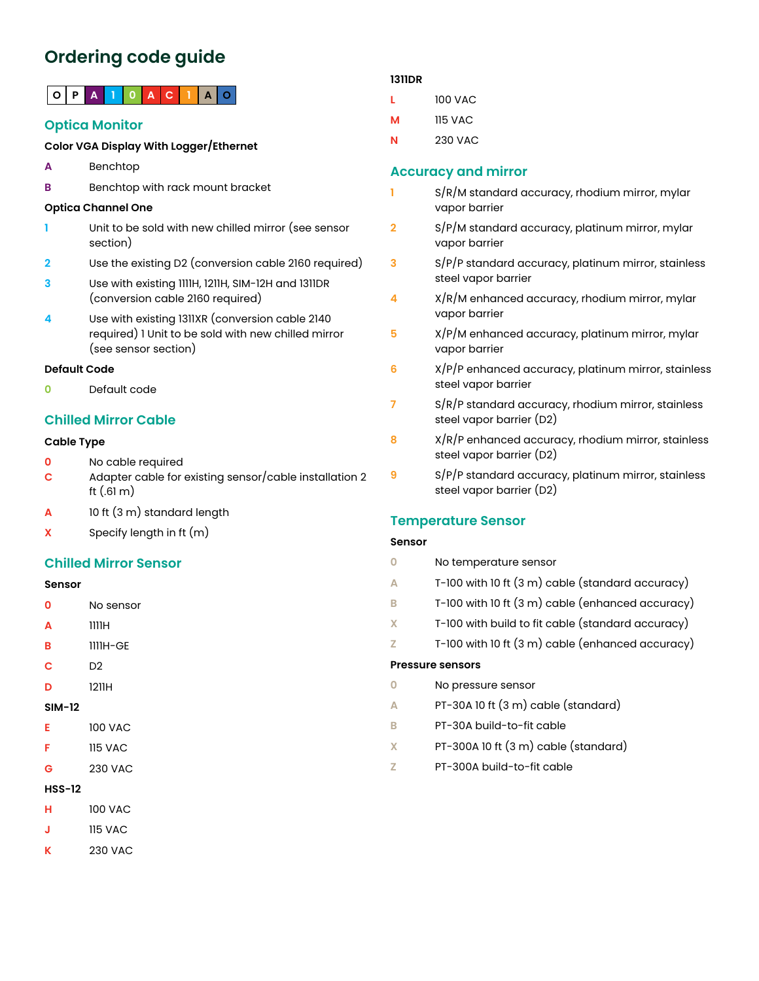# **Ordering code guide**

# **O P A 1 0 A C 1 A O**

## **Optica Monitor**

#### **Color VGA Display With Logger/Ethernet**

- **A** Benchtop
- **B** Benchtop with rack mount bracket

#### **Optica Channel One**

- **1** Unit to be sold with new chilled mirror (see sensor section)
- **2** Use the existing D2 (conversion cable 2160 required)
- **3** Use with existing 1111H, 1211H, SIM-12H and 1311DR (conversion cable 2160 required)
- **4** Use with existing 1311XR (conversion cable 2140 required) 1 Unit to be sold with new chilled mirror (see sensor section)

#### **Default Code**

**0** Default code

## **Chilled Mirror Cable**

#### **Cable Type**

- **0** No cable required
- **C** Adapter cable for existing sensor/cable installation 2 ft (.61 m)
- **A** 10 ft (3 m) standard length
- **X** Specify length in ft (m)

### **Chilled Mirror Sensor**

#### **Sensor**

- **0** No sensor
- **A** 1111H
- **B** 1111H-GE
- **C** D2
- **D** 1211H

#### **SIM-12**

- **E** 100 VAC
- **F** 115 VAC
- **G** 230 VAC

#### **HSS-12**

- **H** 100 VAC
- **J** 115 VAC
- **K** 230 VAC

#### **1311DR**

- **L** 100 VAC
- **M** 115 VAC
- **N** 230 VAC

### **Accuracy and mirror**

- **1** S/R/M standard accuracy, rhodium mirror, mylar vapor barrier
- **2** S/P/M standard accuracy, platinum mirror, mylar vapor barrier
- **3** S/P/P standard accuracy, platinum mirror, stainless steel vapor barrier
- **4** X/R/M enhanced accuracy, rhodium mirror, mylar vapor barrier
- **5** X/P/M enhanced accuracy, platinum mirror, mylar vapor barrier
- **6** X/P/P enhanced accuracy, platinum mirror, stainless steel vapor barrier
- **7** S/R/P standard accuracy, rhodium mirror, stainless steel vapor barrier (D2)
- **8** X/R/P enhanced accuracy, rhodium mirror, stainless steel vapor barrier (D2)
- **9** S/P/P standard accuracy, platinum mirror, stainless steel vapor barrier (D2)

### **Temperature Sensor**

#### **Sensor**

- **0** No temperature sensor
- **A** T-100 with 10 ft (3 m) cable (standard accuracy)
- **B** T-100 with 10 ft (3 m) cable (enhanced accuracy)
- **X** T-100 with build to fit cable (standard accuracy)
- **Z** T-100 with 10 ft (3 m) cable (enhanced accuracy)

#### **Pressure sensors**

- **0** No pressure sensor
- **A** PT-30A 10 ft (3 m) cable (standard)
- **B** PT-30A build-to-fit cable
- **X** PT-300A 10 ft (3 m) cable (standard)
- **Z** PT-300A build-to-fit cable